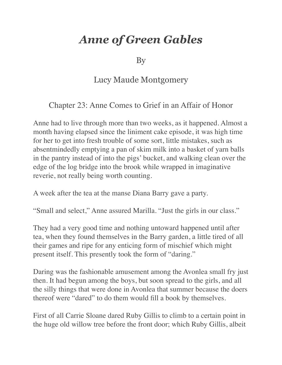## *Anne of Green Gables*

By

## Lucy Maude Montgomery

## Chapter 23: Anne Comes to Grief in an Affair of Honor

Anne had to live through more than two weeks, as it happened. Almost a month having elapsed since the liniment cake episode, it was high time for her to get into fresh trouble of some sort, little mistakes, such as absentmindedly emptying a pan of skim milk into a basket of yarn balls in the pantry instead of into the pigs' bucket, and walking clean over the edge of the log bridge into the brook while wrapped in imaginative reverie, not really being worth counting.

A week after the tea at the manse Diana Barry gave a party.

"Small and select," Anne assured Marilla. "Just the girls in our class."

They had a very good time and nothing untoward happened until after tea, when they found themselves in the Barry garden, a little tired of all their games and ripe for any enticing form of mischief which might present itself. This presently took the form of "daring."

Daring was the fashionable amusement among the Avonlea small fry just then. It had begun among the boys, but soon spread to the girls, and all the silly things that were done in Avonlea that summer because the doers thereof were "dared" to do them would fill a book by themselves.

First of all Carrie Sloane dared Ruby Gillis to climb to a certain point in the huge old willow tree before the front door; which Ruby Gillis, albeit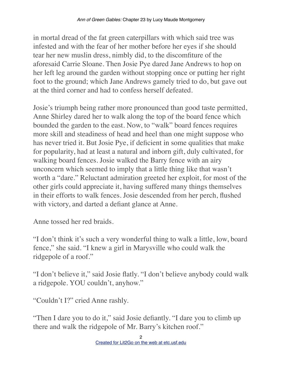in mortal dread of the fat green caterpillars with which said tree was infested and with the fear of her mother before her eyes if she should tear her new muslin dress, nimbly did, to the discomfiture of the aforesaid Carrie Sloane. Then Josie Pye dared Jane Andrews to hop on her left leg around the garden without stopping once or putting her right foot to the ground; which Jane Andrews gamely tried to do, but gave out at the third corner and had to confess herself defeated.

Josie's triumph being rather more pronounced than good taste permitted, Anne Shirley dared her to walk along the top of the board fence which bounded the garden to the east. Now, to "walk" board fences requires more skill and steadiness of head and heel than one might suppose who has never tried it. But Josie Pye, if deficient in some qualities that make for popularity, had at least a natural and inborn gift, duly cultivated, for walking board fences. Josie walked the Barry fence with an airy unconcern which seemed to imply that a little thing like that wasn't worth a "dare." Reluctant admiration greeted her exploit, for most of the other girls could appreciate it, having suffered many things themselves in their efforts to walk fences. Josie descended from her perch, flushed with victory, and darted a defiant glance at Anne.

Anne tossed her red braids.

"I don't think it's such a very wonderful thing to walk a little, low, board fence," she said. "I knew a girl in Marysville who could walk the ridgepole of a roof."

"I don't believe it," said Josie flatly. "I don't believe anybody could walk a ridgepole. YOU couldn't, anyhow."

"Couldn't I?" cried Anne rashly.

"Then I dare you to do it," said Josie defiantly. "I dare you to climb up there and walk the ridgepole of Mr. Barry's kitchen roof."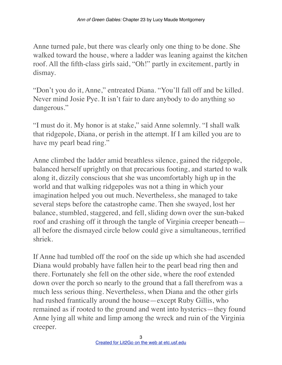Anne turned pale, but there was clearly only one thing to be done. She walked toward the house, where a ladder was leaning against the kitchen roof. All the fifth-class girls said, "Oh!" partly in excitement, partly in dismay.

"Don't you do it, Anne," entreated Diana. "You'll fall off and be killed. Never mind Josie Pye. It isn't fair to dare anybody to do anything so dangerous."

"I must do it. My honor is at stake," said Anne solemnly. "I shall walk that ridgepole, Diana, or perish in the attempt. If I am killed you are to have my pearl bead ring."

Anne climbed the ladder amid breathless silence, gained the ridgepole, balanced herself uprightly on that precarious footing, and started to walk along it, dizzily conscious that she was uncomfortably high up in the world and that walking ridgepoles was not a thing in which your imagination helped you out much. Nevertheless, she managed to take several steps before the catastrophe came. Then she swayed, lost her balance, stumbled, staggered, and fell, sliding down over the sun-baked roof and crashing off it through the tangle of Virginia creeper beneath all before the dismayed circle below could give a simultaneous, terrified shriek.

If Anne had tumbled off the roof on the side up which she had ascended Diana would probably have fallen heir to the pearl bead ring then and there. Fortunately she fell on the other side, where the roof extended down over the porch so nearly to the ground that a fall therefrom was a much less serious thing. Nevertheless, when Diana and the other girls had rushed frantically around the house—except Ruby Gillis, who remained as if rooted to the ground and went into hysterics—they found Anne lying all white and limp among the wreck and ruin of the Virginia creeper.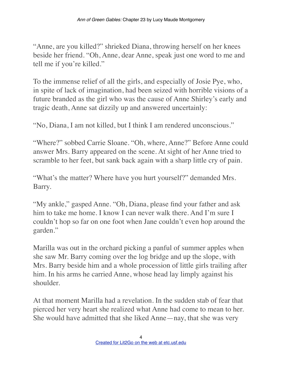"Anne, are you killed?" shrieked Diana, throwing herself on her knees beside her friend. "Oh, Anne, dear Anne, speak just one word to me and tell me if you're killed."

To the immense relief of all the girls, and especially of Josie Pye, who, in spite of lack of imagination, had been seized with horrible visions of a future branded as the girl who was the cause of Anne Shirley's early and tragic death, Anne sat dizzily up and answered uncertainly:

"No, Diana, I am not killed, but I think I am rendered unconscious."

"Where?" sobbed Carrie Sloane. "Oh, where, Anne?" Before Anne could answer Mrs. Barry appeared on the scene. At sight of her Anne tried to scramble to her feet, but sank back again with a sharp little cry of pain.

"What's the matter? Where have you hurt yourself?" demanded Mrs. Barry.

"My ankle," gasped Anne. "Oh, Diana, please find your father and ask him to take me home. I know I can never walk there. And I'm sure I couldn't hop so far on one foot when Jane couldn't even hop around the garden."

Marilla was out in the orchard picking a panful of summer apples when she saw Mr. Barry coming over the log bridge and up the slope, with Mrs. Barry beside him and a whole procession of little girls trailing after him. In his arms he carried Anne, whose head lay limply against his shoulder.

At that moment Marilla had a revelation. In the sudden stab of fear that pierced her very heart she realized what Anne had come to mean to her. She would have admitted that she liked Anne—nay, that she was very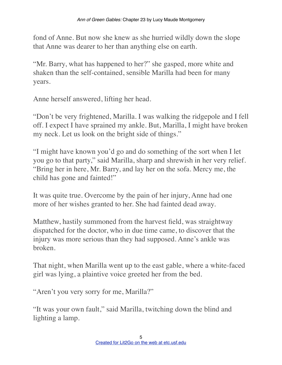fond of Anne. But now she knew as she hurried wildly down the slope that Anne was dearer to her than anything else on earth.

"Mr. Barry, what has happened to her?" she gasped, more white and shaken than the self-contained, sensible Marilla had been for many years.

Anne herself answered, lifting her head.

"Don't be very frightened, Marilla. I was walking the ridgepole and I fell off. I expect I have sprained my ankle. But, Marilla, I might have broken my neck. Let us look on the bright side of things."

"I might have known you'd go and do something of the sort when I let you go to that party," said Marilla, sharp and shrewish in her very relief. "Bring her in here, Mr. Barry, and lay her on the sofa. Mercy me, the child has gone and fainted!"

It was quite true. Overcome by the pain of her injury, Anne had one more of her wishes granted to her. She had fainted dead away.

Matthew, hastily summoned from the harvest field, was straightway dispatched for the doctor, who in due time came, to discover that the injury was more serious than they had supposed. Anne's ankle was broken.

That night, when Marilla went up to the east gable, where a white-faced girl was lying, a plaintive voice greeted her from the bed.

"Aren't you very sorry for me, Marilla?"

"It was your own fault," said Marilla, twitching down the blind and lighting a lamp.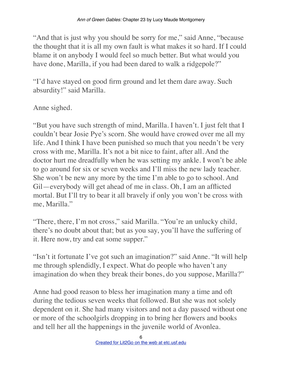"And that is just why you should be sorry for me," said Anne, "because the thought that it is all my own fault is what makes it so hard. If I could blame it on anybody I would feel so much better. But what would you have done, Marilla, if you had been dared to walk a ridgepole?"

"I'd have stayed on good firm ground and let them dare away. Such absurdity!" said Marilla.

Anne sighed.

"But you have such strength of mind, Marilla. I haven't. I just felt that I couldn't bear Josie Pye's scorn. She would have crowed over me all my life. And I think I have been punished so much that you needn't be very cross with me, Marilla. It's not a bit nice to faint, after all. And the doctor hurt me dreadfully when he was setting my ankle. I won't be able to go around for six or seven weeks and I'll miss the new lady teacher. She won't be new any more by the time I'm able to go to school. And Gil—everybody will get ahead of me in class. Oh, I am an afflicted mortal. But I'll try to bear it all bravely if only you won't be cross with me, Marilla."

"There, there, I'm not cross," said Marilla. "You're an unlucky child, there's no doubt about that; but as you say, you'll have the suffering of it. Here now, try and eat some supper."

"Isn't it fortunate I've got such an imagination?" said Anne. "It will help me through splendidly, I expect. What do people who haven't any imagination do when they break their bones, do you suppose, Marilla?"

Anne had good reason to bless her imagination many a time and oft during the tedious seven weeks that followed. But she was not solely dependent on it. She had many visitors and not a day passed without one or more of the schoolgirls dropping in to bring her flowers and books and tell her all the happenings in the juvenile world of Avonlea.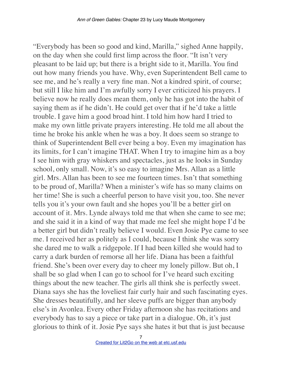"Everybody has been so good and kind, Marilla," sighed Anne happily, on the day when she could first limp across the floor. "It isn't very pleasant to be laid up; but there is a bright side to it, Marilla. You find out how many friends you have. Why, even Superintendent Bell came to see me, and he's really a very fine man. Not a kindred spirit, of course; but still I like him and I'm awfully sorry I ever criticized his prayers. I believe now he really does mean them, only he has got into the habit of saying them as if he didn't. He could get over that if he'd take a little trouble. I gave him a good broad hint. I told him how hard I tried to make my own little private prayers interesting. He told me all about the time he broke his ankle when he was a boy. It does seem so strange to think of Superintendent Bell ever being a boy. Even my imagination has its limits, for I can't imagine THAT. When I try to imagine him as a boy I see him with gray whiskers and spectacles, just as he looks in Sunday school, only small. Now, it's so easy to imagine Mrs. Allan as a little girl. Mrs. Allan has been to see me fourteen times. Isn't that something to be proud of, Marilla? When a minister's wife has so many claims on her time! She is such a cheerful person to have visit you, too. She never tells you it's your own fault and she hopes you'll be a better girl on account of it. Mrs. Lynde always told me that when she came to see me; and she said it in a kind of way that made me feel she might hope I'd be a better girl but didn't really believe I would. Even Josie Pye came to see me. I received her as politely as I could, because I think she was sorry she dared me to walk a ridgepole. If I had been killed she would had to carry a dark burden of remorse all her life. Diana has been a faithful friend. She's been over every day to cheer my lonely pillow. But oh, I shall be so glad when I can go to school for I've heard such exciting things about the new teacher. The girls all think she is perfectly sweet. Diana says she has the loveliest fair curly hair and such fascinating eyes. She dresses beautifully, and her sleeve puffs are bigger than anybody else's in Avonlea. Every other Friday afternoon she has recitations and everybody has to say a piece or take part in a dialogue. Oh, it's just glorious to think of it. Josie Pye says she hates it but that is just because